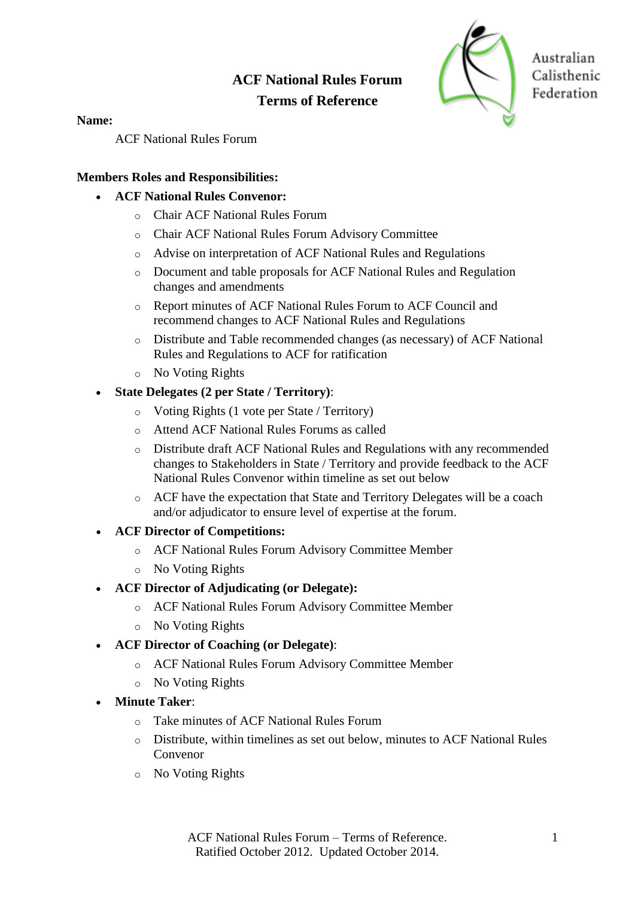# **ACF National Rules Forum Terms of Reference**



Australian Calisthenic Federation

**Name:**

ACF National Rules Forum

## **Members Roles and Responsibilities:**

- **ACF National Rules Convenor:** 
	- o Chair ACF National Rules Forum
	- o Chair ACF National Rules Forum Advisory Committee
	- o Advise on interpretation of ACF National Rules and Regulations
	- o Document and table proposals for ACF National Rules and Regulation changes and amendments
	- o Report minutes of ACF National Rules Forum to ACF Council and recommend changes to ACF National Rules and Regulations
	- o Distribute and Table recommended changes (as necessary) of ACF National Rules and Regulations to ACF for ratification
	- o No Voting Rights
- **State Delegates (2 per State / Territory)**:
	- o Voting Rights (1 vote per State / Territory)
	- o Attend ACF National Rules Forums as called
	- o Distribute draft ACF National Rules and Regulations with any recommended changes to Stakeholders in State / Territory and provide feedback to the ACF National Rules Convenor within timeline as set out below
	- o ACF have the expectation that State and Territory Delegates will be a coach and/or adjudicator to ensure level of expertise at the forum.
- **ACF Director of Competitions:**
	- o ACF National Rules Forum Advisory Committee Member
	- o No Voting Rights
- **ACF Director of Adjudicating (or Delegate):** 
	- o ACF National Rules Forum Advisory Committee Member
	- o No Voting Rights
- **ACF Director of Coaching (or Delegate)**:
	- o ACF National Rules Forum Advisory Committee Member
	- o No Voting Rights
- **Minute Taker**:
	- o Take minutes of ACF National Rules Forum
	- o Distribute, within timelines as set out below, minutes to ACF National Rules Convenor
	- o No Voting Rights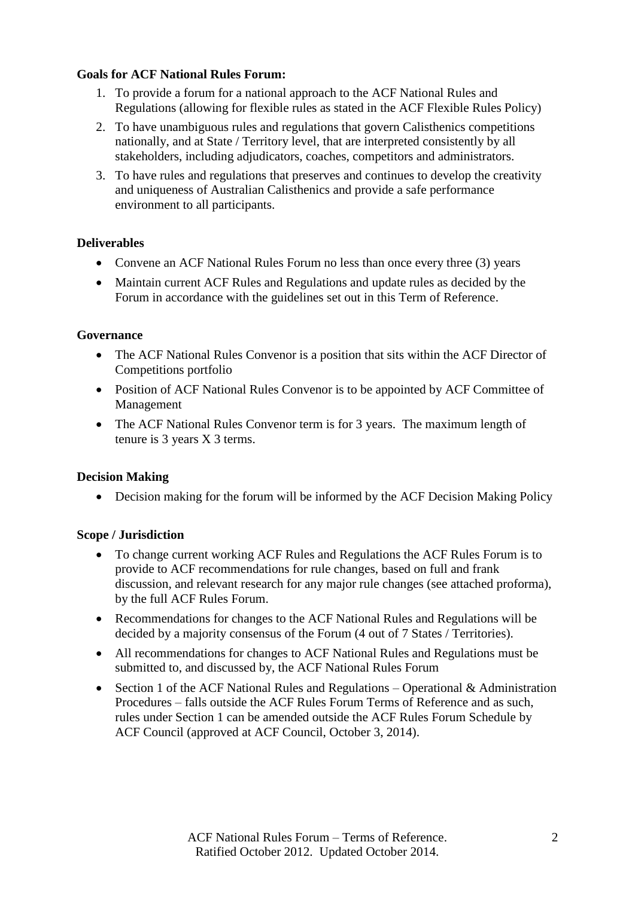## **Goals for ACF National Rules Forum:**

- 1. To provide a forum for a national approach to the ACF National Rules and Regulations (allowing for flexible rules as stated in the ACF Flexible Rules Policy)
- 2. To have unambiguous rules and regulations that govern Calisthenics competitions nationally, and at State / Territory level, that are interpreted consistently by all stakeholders, including adjudicators, coaches, competitors and administrators.
- 3. To have rules and regulations that preserves and continues to develop the creativity and uniqueness of Australian Calisthenics and provide a safe performance environment to all participants.

## **Deliverables**

- Convene an ACF National Rules Forum no less than once every three (3) years
- Maintain current ACF Rules and Regulations and update rules as decided by the Forum in accordance with the guidelines set out in this Term of Reference.

#### **Governance**

- The ACF National Rules Convenor is a position that sits within the ACF Director of Competitions portfolio
- Position of ACF National Rules Convenor is to be appointed by ACF Committee of Management
- The ACF National Rules Convenor term is for 3 years. The maximum length of tenure is 3 years X 3 terms.

#### **Decision Making**

• Decision making for the forum will be informed by the ACF Decision Making Policy

#### **Scope / Jurisdiction**

- To change current working ACF Rules and Regulations the ACF Rules Forum is to provide to ACF recommendations for rule changes, based on full and frank discussion, and relevant research for any major rule changes (see attached proforma), by the full ACF Rules Forum.
- Recommendations for changes to the ACF National Rules and Regulations will be decided by a majority consensus of the Forum (4 out of 7 States / Territories).
- All recommendations for changes to ACF National Rules and Regulations must be submitted to, and discussed by, the ACF National Rules Forum
- Section 1 of the ACF National Rules and Regulations Operational & Administration Procedures – falls outside the ACF Rules Forum Terms of Reference and as such, rules under Section 1 can be amended outside the ACF Rules Forum Schedule by ACF Council (approved at ACF Council, October 3, 2014).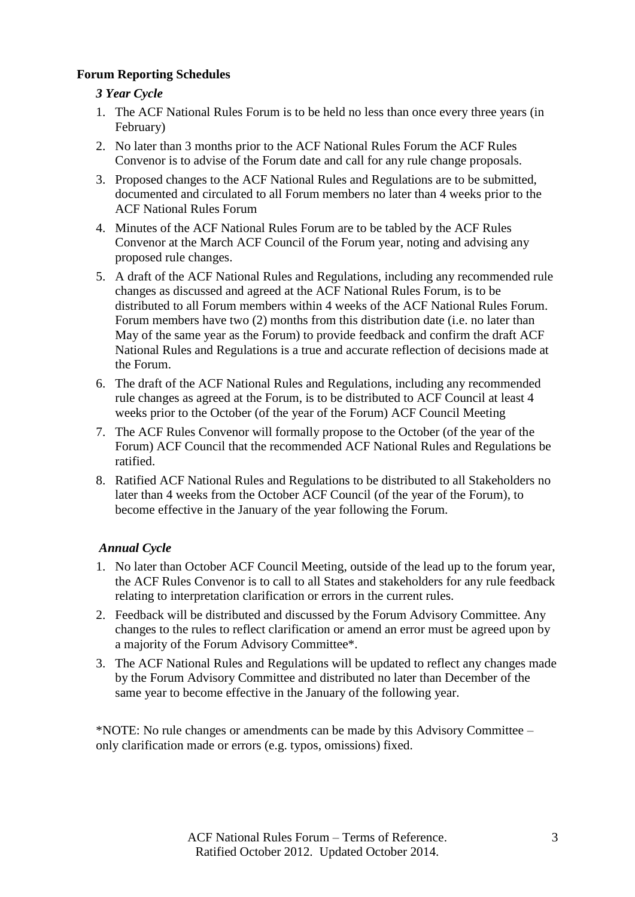## **Forum Reporting Schedules**

## *3 Year Cycle*

- 1. The ACF National Rules Forum is to be held no less than once every three years (in February)
- 2. No later than 3 months prior to the ACF National Rules Forum the ACF Rules Convenor is to advise of the Forum date and call for any rule change proposals.
- 3. Proposed changes to the ACF National Rules and Regulations are to be submitted, documented and circulated to all Forum members no later than 4 weeks prior to the ACF National Rules Forum
- 4. Minutes of the ACF National Rules Forum are to be tabled by the ACF Rules Convenor at the March ACF Council of the Forum year, noting and advising any proposed rule changes.
- 5. A draft of the ACF National Rules and Regulations, including any recommended rule changes as discussed and agreed at the ACF National Rules Forum, is to be distributed to all Forum members within 4 weeks of the ACF National Rules Forum. Forum members have two (2) months from this distribution date (i.e. no later than May of the same year as the Forum) to provide feedback and confirm the draft ACF National Rules and Regulations is a true and accurate reflection of decisions made at the Forum.
- 6. The draft of the ACF National Rules and Regulations, including any recommended rule changes as agreed at the Forum, is to be distributed to ACF Council at least 4 weeks prior to the October (of the year of the Forum) ACF Council Meeting
- 7. The ACF Rules Convenor will formally propose to the October (of the year of the Forum) ACF Council that the recommended ACF National Rules and Regulations be ratified.
- 8. Ratified ACF National Rules and Regulations to be distributed to all Stakeholders no later than 4 weeks from the October ACF Council (of the year of the Forum), to become effective in the January of the year following the Forum.

# *Annual Cycle*

- 1. No later than October ACF Council Meeting, outside of the lead up to the forum year, the ACF Rules Convenor is to call to all States and stakeholders for any rule feedback relating to interpretation clarification or errors in the current rules.
- 2. Feedback will be distributed and discussed by the Forum Advisory Committee. Any changes to the rules to reflect clarification or amend an error must be agreed upon by a majority of the Forum Advisory Committee\*.
- 3. The ACF National Rules and Regulations will be updated to reflect any changes made by the Forum Advisory Committee and distributed no later than December of the same year to become effective in the January of the following year.

\*NOTE: No rule changes or amendments can be made by this Advisory Committee – only clarification made or errors (e.g. typos, omissions) fixed.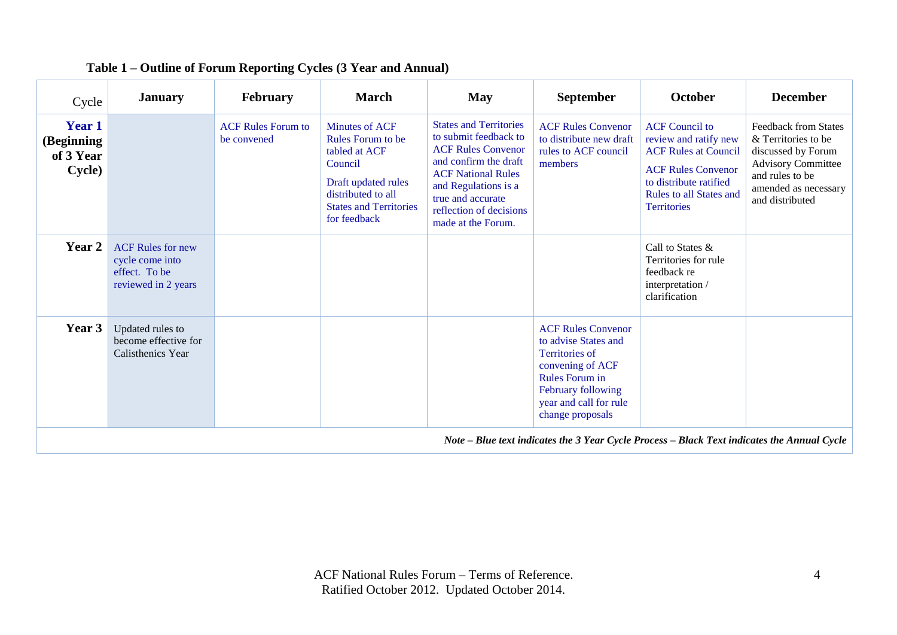| Cycle                                                                                       | <b>January</b>                                                                      | <b>February</b>                          | <b>March</b>                                                                                                                                                                | <b>May</b>                                                                                                                                                                                                                              | <b>September</b>                                                                                                                                                                            | October                                                                                                                                                                                      | <b>December</b>                                                                                                                                                     |
|---------------------------------------------------------------------------------------------|-------------------------------------------------------------------------------------|------------------------------------------|-----------------------------------------------------------------------------------------------------------------------------------------------------------------------------|-----------------------------------------------------------------------------------------------------------------------------------------------------------------------------------------------------------------------------------------|---------------------------------------------------------------------------------------------------------------------------------------------------------------------------------------------|----------------------------------------------------------------------------------------------------------------------------------------------------------------------------------------------|---------------------------------------------------------------------------------------------------------------------------------------------------------------------|
| Year 1<br>(Beginning<br>of 3 Year<br>Cycle)                                                 |                                                                                     | <b>ACF Rules Forum to</b><br>be convened | <b>Minutes of ACF</b><br><b>Rules Forum to be</b><br>tabled at ACF<br>Council<br>Draft updated rules<br>distributed to all<br><b>States and Territories</b><br>for feedback | <b>States and Territories</b><br>to submit feedback to<br><b>ACF Rules Convenor</b><br>and confirm the draft<br><b>ACF National Rules</b><br>and Regulations is a<br>true and accurate<br>reflection of decisions<br>made at the Forum. | <b>ACF Rules Convenor</b><br>to distribute new draft<br>rules to ACF council<br>members                                                                                                     | <b>ACF</b> Council to<br>review and ratify new<br><b>ACF Rules at Council</b><br><b>ACF Rules Convenor</b><br>to distribute ratified<br><b>Rules to all States and</b><br><b>Territories</b> | <b>Feedback from States</b><br>& Territories to be<br>discussed by Forum<br><b>Advisory Committee</b><br>and rules to be<br>amended as necessary<br>and distributed |
| Year 2                                                                                      | <b>ACF Rules for new</b><br>cycle come into<br>effect. To be<br>reviewed in 2 years |                                          |                                                                                                                                                                             |                                                                                                                                                                                                                                         |                                                                                                                                                                                             | Call to States &<br>Territories for rule<br>feedback re<br>interpretation /<br>clarification                                                                                                 |                                                                                                                                                                     |
| Year 3                                                                                      | Updated rules to<br>become effective for<br>Calisthenics Year                       |                                          |                                                                                                                                                                             |                                                                                                                                                                                                                                         | <b>ACF Rules Convenor</b><br>to advise States and<br><b>Territories of</b><br>convening of ACF<br><b>Rules Forum in</b><br>February following<br>year and call for rule<br>change proposals |                                                                                                                                                                                              |                                                                                                                                                                     |
| Note – Blue text indicates the 3 Year Cycle Process – Black Text indicates the Annual Cycle |                                                                                     |                                          |                                                                                                                                                                             |                                                                                                                                                                                                                                         |                                                                                                                                                                                             |                                                                                                                                                                                              |                                                                                                                                                                     |

#### **Table 1 – Outline of Forum Reporting Cycles (3 Year and Annual)**